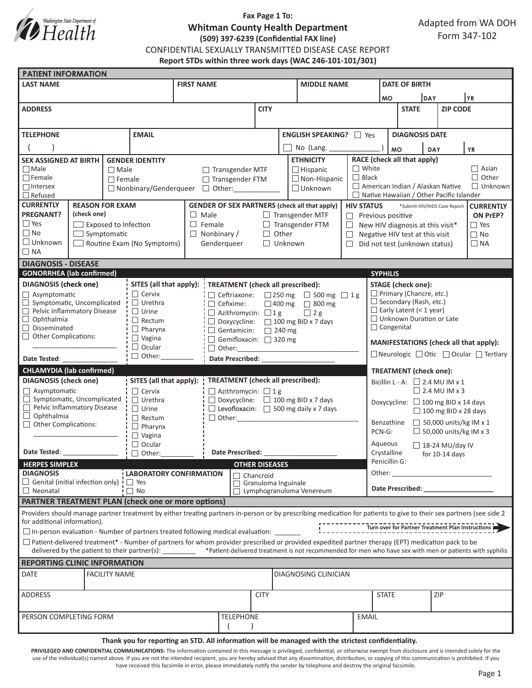

# **Fax Page 1 To: Whitman County Health Department (509) 397-6239 (Confidential FAX line)**

Adapted from WA DOH Form 347-102

CONFIDENTIAL SEXUALLY TRANSMITTED DISEASE CASE REPORT

**Report STDs within three work days (WAC 246-101-101/301)**

| <b>PATIENT INFORMATION</b>                                                                                                                                                                                                                                                                                                                                                                                                       |                             |                  |                                                  |                                                                                               |                   |                                                |                                    |                                                             |                                          |                                                                                                                                                                                                                                |                                                                                          |                           |                 |  |  |  |  |
|----------------------------------------------------------------------------------------------------------------------------------------------------------------------------------------------------------------------------------------------------------------------------------------------------------------------------------------------------------------------------------------------------------------------------------|-----------------------------|------------------|--------------------------------------------------|-----------------------------------------------------------------------------------------------|-------------------|------------------------------------------------|------------------------------------|-------------------------------------------------------------|------------------------------------------|--------------------------------------------------------------------------------------------------------------------------------------------------------------------------------------------------------------------------------|------------------------------------------------------------------------------------------|---------------------------|-----------------|--|--|--|--|
| <b>LAST NAME</b>                                                                                                                                                                                                                                                                                                                                                                                                                 |                             |                  |                                                  | <b>FIRST NAME</b>                                                                             |                   |                                                |                                    |                                                             | <b>MIDDLE NAME</b>                       |                                                                                                                                                                                                                                |                                                                                          | <b>DATE OF BIRTH</b>      |                 |  |  |  |  |
|                                                                                                                                                                                                                                                                                                                                                                                                                                  |                             |                  |                                                  |                                                                                               |                   |                                                |                                    |                                                             |                                          |                                                                                                                                                                                                                                | <b>IDAY</b><br><b>MO</b>                                                                 |                           | <b>YR</b>       |  |  |  |  |
| <b>ADDRESS</b>                                                                                                                                                                                                                                                                                                                                                                                                                   |                             |                  |                                                  |                                                                                               |                   | <b>CITY</b>                                    |                                    |                                                             |                                          |                                                                                                                                                                                                                                | <b>STATE</b>                                                                             |                           | <b>ZIP CODE</b> |  |  |  |  |
|                                                                                                                                                                                                                                                                                                                                                                                                                                  |                             |                  |                                                  |                                                                                               |                   |                                                |                                    |                                                             |                                          |                                                                                                                                                                                                                                |                                                                                          |                           |                 |  |  |  |  |
| <b>TELEPHONE</b><br><b>EMAIL</b>                                                                                                                                                                                                                                                                                                                                                                                                 |                             |                  |                                                  |                                                                                               |                   |                                                |                                    |                                                             | <b>ENGLISH SPEAKING?</b> □ Yes           |                                                                                                                                                                                                                                |                                                                                          | <b>DIAGNOSIS DATE</b>     |                 |  |  |  |  |
|                                                                                                                                                                                                                                                                                                                                                                                                                                  |                             |                  |                                                  |                                                                                               |                   |                                                | No (Lang.                          |                                                             |                                          |                                                                                                                                                                                                                                |                                                                                          |                           |                 |  |  |  |  |
| <b>SEX ASSIGNED AT BIRTH</b><br><b>GENDER IDENTITY</b>                                                                                                                                                                                                                                                                                                                                                                           |                             |                  |                                                  |                                                                                               |                   |                                                |                                    | <b>ETHNICITY</b>                                            |                                          |                                                                                                                                                                                                                                | <b>MO</b><br><b>YR</b><br><b>DAY</b><br>RACE (check all that apply)                      |                           |                 |  |  |  |  |
| $\Box$ Male<br>$\Box$ Male                                                                                                                                                                                                                                                                                                                                                                                                       |                             |                  |                                                  | □ Transgender MTF<br>$\Box$ Hispanic                                                          |                   |                                                |                                    |                                                             |                                          | $\Box$ White                                                                                                                                                                                                                   | $\Box$ Asian                                                                             |                           |                 |  |  |  |  |
| $\Box$ Female                                                                                                                                                                                                                                                                                                                                                                                                                    |                             | $\Box$ Female    |                                                  |                                                                                               | □ Transgender FTM |                                                |                                    |                                                             | $\Box$ Non-Hispanic                      | $\Box$ Black                                                                                                                                                                                                                   | $\Box$ Other                                                                             |                           |                 |  |  |  |  |
| $\Box$ Intersex                                                                                                                                                                                                                                                                                                                                                                                                                  |                             |                  |                                                  | $\Box$ Unknown<br>$\Box$ Nonbinary/Genderqueer $\Box$ Other:                                  |                   |                                                |                                    |                                                             |                                          |                                                                                                                                                                                                                                | American Indian / Alaskan Native<br>$\Box$ Unknown                                       |                           |                 |  |  |  |  |
| $\Box$ Refused<br><b>CURRENTLY</b><br><b>REASON FOR EXAM</b>                                                                                                                                                                                                                                                                                                                                                                     |                             |                  |                                                  |                                                                                               |                   |                                                |                                    |                                                             |                                          |                                                                                                                                                                                                                                | $\Box$ Native Hawaiian / Other Pacific Islander                                          |                           |                 |  |  |  |  |
| <b>PREGNANT?</b><br>(check one)                                                                                                                                                                                                                                                                                                                                                                                                  |                             |                  |                                                  | <b>GENDER OF SEX PARTNERS (check all that apply)</b><br>$\Box$ Male<br>$\Box$ Transgender MTF |                   |                                                |                                    |                                                             |                                          | <b>HIV STATUS</b>                                                                                                                                                                                                              | *Submit HIV/AIDS Case Report<br><b>CURRENTLY</b><br>ON PrEP?<br>$\Box$ Previous positive |                           |                 |  |  |  |  |
| $\Box$ Yes                                                                                                                                                                                                                                                                                                                                                                                                                       | $\Box$ Exposed to Infection |                  |                                                  | $\Box$ Female<br>$\Box$ Transgender FTM<br>$\Box$                                             |                   |                                                |                                    |                                                             |                                          |                                                                                                                                                                                                                                | $\Box$ Yes<br>New HIV diagnosis at this visit*                                           |                           |                 |  |  |  |  |
| $\Box$ No                                                                                                                                                                                                                                                                                                                                                                                                                        | $\Box$ Symptomatic          |                  |                                                  | $\Box$ Nonbinary /<br>Other<br>$\Box$<br>$\Box$                                               |                   |                                                |                                    |                                                             |                                          |                                                                                                                                                                                                                                | $\Box$ No<br>Negative HIV test at this visit                                             |                           |                 |  |  |  |  |
| $\Box$ Unknown<br>Routine Exam (No Symptoms)                                                                                                                                                                                                                                                                                                                                                                                     |                             |                  |                                                  | Gendergueer                                                                                   |                   |                                                |                                    | $\Box$ Unknown<br>П.                                        |                                          |                                                                                                                                                                                                                                | Did not test (unknown status)<br>$\Box$ NA                                               |                           |                 |  |  |  |  |
| $\Box$ NA                                                                                                                                                                                                                                                                                                                                                                                                                        |                             |                  |                                                  |                                                                                               |                   |                                                |                                    |                                                             |                                          |                                                                                                                                                                                                                                |                                                                                          |                           |                 |  |  |  |  |
| <b>DIAGNOSIS - DISEASE</b>                                                                                                                                                                                                                                                                                                                                                                                                       |                             |                  |                                                  |                                                                                               |                   |                                                |                                    |                                                             |                                          |                                                                                                                                                                                                                                |                                                                                          |                           |                 |  |  |  |  |
| <b>GONORRHEA</b> (lab confirmed)                                                                                                                                                                                                                                                                                                                                                                                                 |                             |                  |                                                  |                                                                                               |                   |                                                |                                    |                                                             |                                          |                                                                                                                                                                                                                                | <b>SYPHILIS</b>                                                                          |                           |                 |  |  |  |  |
| <b>DIAGNOSIS</b> (check one)                                                                                                                                                                                                                                                                                                                                                                                                     |                             |                  | $\Box$ Cervix                                    | SITES (all that apply):                                                                       |                   |                                                |                                    |                                                             | <b>TREATMENT</b> (check all prescribed): |                                                                                                                                                                                                                                |                                                                                          | <b>STAGE</b> (check one): |                 |  |  |  |  |
| Asymptomatic<br>$\Box$ Symptomatic, Uncomplicated                                                                                                                                                                                                                                                                                                                                                                                |                             |                  | $\Box$ Urethra                                   | □ Ceftriaxone:<br>$\Box$ Cefixime:                                                            |                   |                                                |                                    | $\Box$ 250 mg $\Box$ 500 mg $\Box$ 1 g<br>□ 400 mg □ 800 mg |                                          |                                                                                                                                                                                                                                | $\Box$ Primary (Chancre, etc.)<br>$\Box$ Secondary (Rash, etc.)                          |                           |                 |  |  |  |  |
| Pelvic Inflammatory Disease                                                                                                                                                                                                                                                                                                                                                                                                      |                             |                  | $\Box$ Urine                                     | $\Box$ 2 g<br>$\Box$ Azithromycin: $\Box$ 1 g                                                 |                   |                                                |                                    |                                                             |                                          |                                                                                                                                                                                                                                | $\Box$ Early Latent (< 1 year)                                                           |                           |                 |  |  |  |  |
| $\Box$ Ophthalmia                                                                                                                                                                                                                                                                                                                                                                                                                |                             |                  | $\Box$ Rectum                                    | $\Box$ Doxycycline: $\Box$ 100 mg BID x 7 days                                                |                   |                                                |                                    |                                                             |                                          |                                                                                                                                                                                                                                | □ Unknown Duration or Late                                                               |                           |                 |  |  |  |  |
| $\Box$ Disseminated<br>$\Box$ Pharynx<br>$\Box$ Other Complications:                                                                                                                                                                                                                                                                                                                                                             |                             |                  |                                                  | Gentamicin: 240 mg                                                                            |                   |                                                |                                    |                                                             |                                          |                                                                                                                                                                                                                                | $\Box$ Congenital                                                                        |                           |                 |  |  |  |  |
| $\Box$ Vagina                                                                                                                                                                                                                                                                                                                                                                                                                    |                             |                  | $\Box$ Ocular                                    | Gemifloxacin: $\Box$ 320 mg<br>$\Box$ Other:                                                  |                   |                                                |                                    |                                                             |                                          |                                                                                                                                                                                                                                | MANIFESTATIONS (check all that apply):                                                   |                           |                 |  |  |  |  |
| $\Box$ Other:<br>Date Tested:                                                                                                                                                                                                                                                                                                                                                                                                    |                             |                  | <b>Date Prescribed:</b>                          |                                                                                               |                   |                                                |                                    |                                                             |                                          | □ Neurologic □ Otic □ Ocular □ Tertiary                                                                                                                                                                                        |                                                                                          |                           |                 |  |  |  |  |
| <b>CHLAMYDIA (lab confirmed)</b>                                                                                                                                                                                                                                                                                                                                                                                                 |                             |                  |                                                  |                                                                                               |                   |                                                |                                    |                                                             |                                          |                                                                                                                                                                                                                                | <b>TREATMENT</b> (check one):                                                            |                           |                 |  |  |  |  |
| <b>DIAGNOSIS</b> (check one)<br>SITES (all that apply):                                                                                                                                                                                                                                                                                                                                                                          |                             |                  | <b>TREATMENT</b> (check all prescribed):         |                                                                                               |                   |                                                |                                    |                                                             |                                          | Bicillin L - A: $\Box$ 2.4 MU IM x 1                                                                                                                                                                                           |                                                                                          |                           |                 |  |  |  |  |
| $\Box$ Asymptomatic                                                                                                                                                                                                                                                                                                                                                                                                              |                             |                  | $\Box$ Cervix<br>$\Box$ Azithromycin: $\Box$ 1 g |                                                                                               |                   |                                                |                                    |                                                             |                                          |                                                                                                                                                                                                                                | $\Box$ 2.4 MU IM x 3                                                                     |                           |                 |  |  |  |  |
| $\Box$ Symptomatic, Uncomplicated                                                                                                                                                                                                                                                                                                                                                                                                |                             |                  | $\Box$ Urethra                                   |                                                                                               |                   | $\Box$ Doxycycline: $\Box$ 100 mg BID x 7 days |                                    |                                                             |                                          |                                                                                                                                                                                                                                | Doxycycline: $\Box$ 100 mg BID x 14 days                                                 |                           |                 |  |  |  |  |
| Pelvic Inflammatory Disease<br>$\Box$ Ophthalmia                                                                                                                                                                                                                                                                                                                                                                                 |                             |                  | $\Box$ Urine                                     | $\Box$ Levofloxacin: $\Box$ 500 mg daily x 7 days                                             |                   |                                                |                                    |                                                             |                                          | $\Box$ 100 mg BID x 28 days                                                                                                                                                                                                    |                                                                                          |                           |                 |  |  |  |  |
| $\Box$ Other Complications:                                                                                                                                                                                                                                                                                                                                                                                                      |                             |                  | $\Box$ Rectum<br>$\Box$ Pharynx                  |                                                                                               |                   | $\Box$ Other:                                  |                                    |                                                             |                                          |                                                                                                                                                                                                                                | $\Box$ 50,000 units/kg IM x 1<br>Benzathine                                              |                           |                 |  |  |  |  |
|                                                                                                                                                                                                                                                                                                                                                                                                                                  |                             |                  | $\Box$ Vagina                                    |                                                                                               |                   |                                                |                                    |                                                             |                                          |                                                                                                                                                                                                                                | $\Box$ 50,000 units/kg IM x 3<br>PCN-G:                                                  |                           |                 |  |  |  |  |
| $\Box$ Ocular                                                                                                                                                                                                                                                                                                                                                                                                                    |                             |                  |                                                  |                                                                                               |                   |                                                |                                    |                                                             |                                          | Aqueous<br>$\Box$ 18-24 MU/day IV                                                                                                                                                                                              |                                                                                          |                           |                 |  |  |  |  |
| Date Tested:<br>$\Box$ Other:                                                                                                                                                                                                                                                                                                                                                                                                    |                             |                  | <b>Date Prescribed:</b>                          |                                                                                               |                   |                                                |                                    |                                                             | Crystalline<br>for $10-14$ days          |                                                                                                                                                                                                                                |                                                                                          |                           |                 |  |  |  |  |
| <b>HERPES SIMPLEX</b><br><b>DIAGNOSIS</b><br>LABORATORY CONFIRMATION                                                                                                                                                                                                                                                                                                                                                             |                             |                  |                                                  |                                                                                               |                   |                                                | <b>OTHER DISEASES</b>              |                                                             |                                          |                                                                                                                                                                                                                                |                                                                                          | Penicillin G:<br>Other:   |                 |  |  |  |  |
| $\Box$ Genital (initial infection only) $\Box$ Yes                                                                                                                                                                                                                                                                                                                                                                               |                             |                  |                                                  |                                                                                               |                   |                                                | □ Chancroid<br>Granuloma Inguinale |                                                             |                                          |                                                                                                                                                                                                                                | <u> 1990 - Johann Barbara, martin a</u>                                                  |                           |                 |  |  |  |  |
| $\Box$ No<br>$\Box$ Neonatal                                                                                                                                                                                                                                                                                                                                                                                                     |                             |                  |                                                  |                                                                                               |                   | $\Box$ Lymphogranuloma Venereum                |                                    |                                                             |                                          | Date Prescribed: Note that the present of the state of the state of the state of the state of the state of the state of the state of the state of the state of the state of the state of the state of the state of the state o |                                                                                          |                           |                 |  |  |  |  |
| <b>PARTNER TREATMENT PLAN (check one or more options)</b>                                                                                                                                                                                                                                                                                                                                                                        |                             |                  |                                                  |                                                                                               |                   |                                                |                                    |                                                             |                                          |                                                                                                                                                                                                                                |                                                                                          |                           |                 |  |  |  |  |
| Providers should manage partner treatment by either treating partners in-person or by prescribing medication for patients to give to their sex partners (see side 2<br>for additional information).                                                                                                                                                                                                                              |                             |                  |                                                  |                                                                                               |                   |                                                |                                    |                                                             |                                          |                                                                                                                                                                                                                                |                                                                                          |                           |                 |  |  |  |  |
|                                                                                                                                                                                                                                                                                                                                                                                                                                  |                             |                  |                                                  |                                                                                               |                   |                                                |                                    |                                                             |                                          |                                                                                                                                                                                                                                |                                                                                          |                           |                 |  |  |  |  |
| $\square$ In-person evaluation - Number of partners treated following medical evaluation: $\square$<br>$\Box$ Patient-delivered treatment* - Number of partners for whom provider prescribed or provided expedited partner therapy (EPT) medication pack to be<br>delivered by the patient to their partner(s): ________ *Patient-delivered treatment is not recommended for men who have sex with men or patients with syphilis |                             |                  |                                                  |                                                                                               |                   |                                                |                                    |                                                             |                                          |                                                                                                                                                                                                                                |                                                                                          |                           |                 |  |  |  |  |
| <b>REPORTING CLINIC INFORMATION</b>                                                                                                                                                                                                                                                                                                                                                                                              |                             |                  |                                                  |                                                                                               |                   |                                                |                                    |                                                             |                                          |                                                                                                                                                                                                                                |                                                                                          |                           |                 |  |  |  |  |
| <b>DATE</b><br><b>FACILITY NAME</b><br>DIAGNOSING CLINICIAN                                                                                                                                                                                                                                                                                                                                                                      |                             |                  |                                                  |                                                                                               |                   |                                                |                                    |                                                             |                                          |                                                                                                                                                                                                                                |                                                                                          |                           |                 |  |  |  |  |
|                                                                                                                                                                                                                                                                                                                                                                                                                                  |                             |                  |                                                  |                                                                                               |                   |                                                |                                    |                                                             |                                          |                                                                                                                                                                                                                                |                                                                                          |                           |                 |  |  |  |  |
| ADDRESS                                                                                                                                                                                                                                                                                                                                                                                                                          |                             |                  |                                                  |                                                                                               |                   | <b>CITY</b>                                    |                                    |                                                             |                                          |                                                                                                                                                                                                                                | <b>STATE</b>                                                                             |                           | ZIP             |  |  |  |  |
|                                                                                                                                                                                                                                                                                                                                                                                                                                  |                             |                  |                                                  |                                                                                               |                   |                                                |                                    |                                                             |                                          |                                                                                                                                                                                                                                |                                                                                          |                           |                 |  |  |  |  |
| PERSON COMPLETING FORM                                                                                                                                                                                                                                                                                                                                                                                                           |                             | <b>TELEPHONE</b> |                                                  |                                                                                               |                   | <b>EMAIL</b>                                   |                                    |                                                             |                                          |                                                                                                                                                                                                                                |                                                                                          |                           |                 |  |  |  |  |
|                                                                                                                                                                                                                                                                                                                                                                                                                                  |                             |                  |                                                  |                                                                                               |                   |                                                |                                    |                                                             |                                          |                                                                                                                                                                                                                                |                                                                                          |                           |                 |  |  |  |  |

**Thank you for reporting an STD. All information will be managed with the strictest confidentiality.** 

PRIVILEGED AND CONFIDENTIAL COMMUNICATIONS: The information contained in this message is privileged, confidential, or otherwise exempt from disclosure and is intended solely for the use of the individual(s) named above. If you are not the intended recipient, you are hereby advised that any dissemination, distribution, or copying of this communication is prohibited. If you have received this facsimile in error, please immediately notify the sender by telephone and destroy the original facsimile.